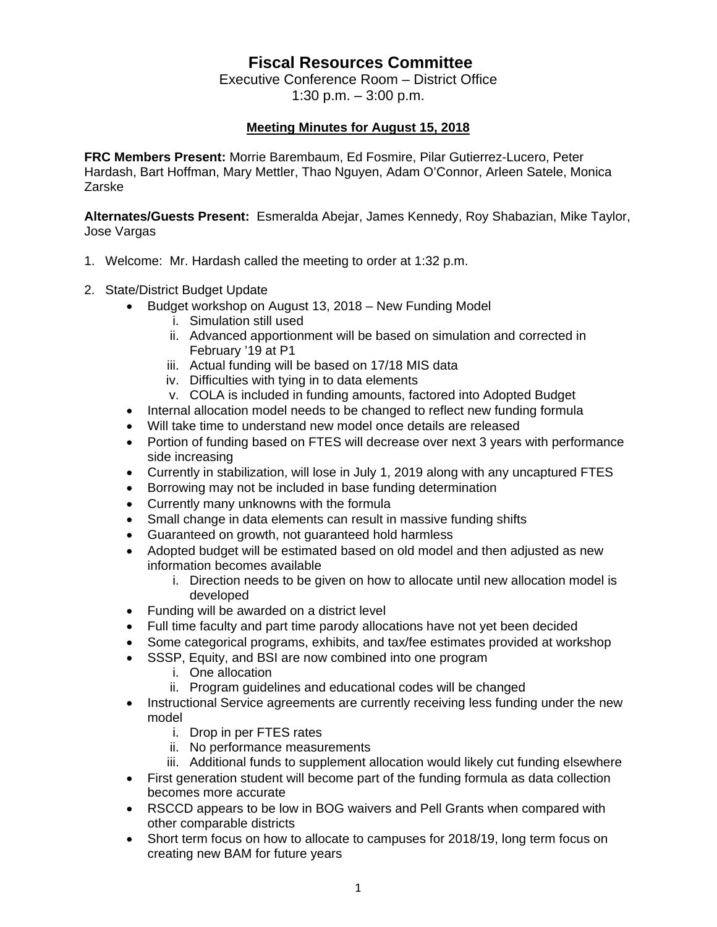## **Fiscal Resources Committee**

Executive Conference Room – District Office 1:30 p.m. – 3:00 p.m.

## **Meeting Minutes for August 15, 2018**

**FRC Members Present:** Morrie Barembaum, Ed Fosmire, Pilar Gutierrez-Lucero, Peter Hardash, Bart Hoffman, Mary Mettler, Thao Nguyen, Adam O'Connor, Arleen Satele, Monica Zarske

**Alternates/Guests Present:** Esmeralda Abejar, James Kennedy, Roy Shabazian, Mike Taylor, Jose Vargas

- 1. Welcome: Mr. Hardash called the meeting to order at 1:32 p.m.
- 2. State/District Budget Update
	- Budget workshop on August 13, 2018 New Funding Model
		- i. Simulation still used
		- ii. Advanced apportionment will be based on simulation and corrected in February '19 at P1
		- iii. Actual funding will be based on 17/18 MIS data
		- iv. Difficulties with tying in to data elements
		- v. COLA is included in funding amounts, factored into Adopted Budget
	- Internal allocation model needs to be changed to reflect new funding formula
	- Will take time to understand new model once details are released
	- Portion of funding based on FTES will decrease over next 3 years with performance side increasing
	- Currently in stabilization, will lose in July 1, 2019 along with any uncaptured FTES
	- Borrowing may not be included in base funding determination
	- Currently many unknowns with the formula
	- Small change in data elements can result in massive funding shifts
	- Guaranteed on growth, not guaranteed hold harmless
	- Adopted budget will be estimated based on old model and then adjusted as new information becomes available
		- i. Direction needs to be given on how to allocate until new allocation model is developed
	- Funding will be awarded on a district level
	- Full time faculty and part time parody allocations have not yet been decided
	- Some categorical programs, exhibits, and tax/fee estimates provided at workshop
	- SSSP, Equity, and BSI are now combined into one program
		- i. One allocation
		- ii. Program guidelines and educational codes will be changed
	- Instructional Service agreements are currently receiving less funding under the new model
		- i. Drop in per FTES rates
		- ii. No performance measurements
		- iii. Additional funds to supplement allocation would likely cut funding elsewhere
	- First generation student will become part of the funding formula as data collection becomes more accurate
	- RSCCD appears to be low in BOG waivers and Pell Grants when compared with other comparable districts
	- Short term focus on how to allocate to campuses for 2018/19, long term focus on creating new BAM for future years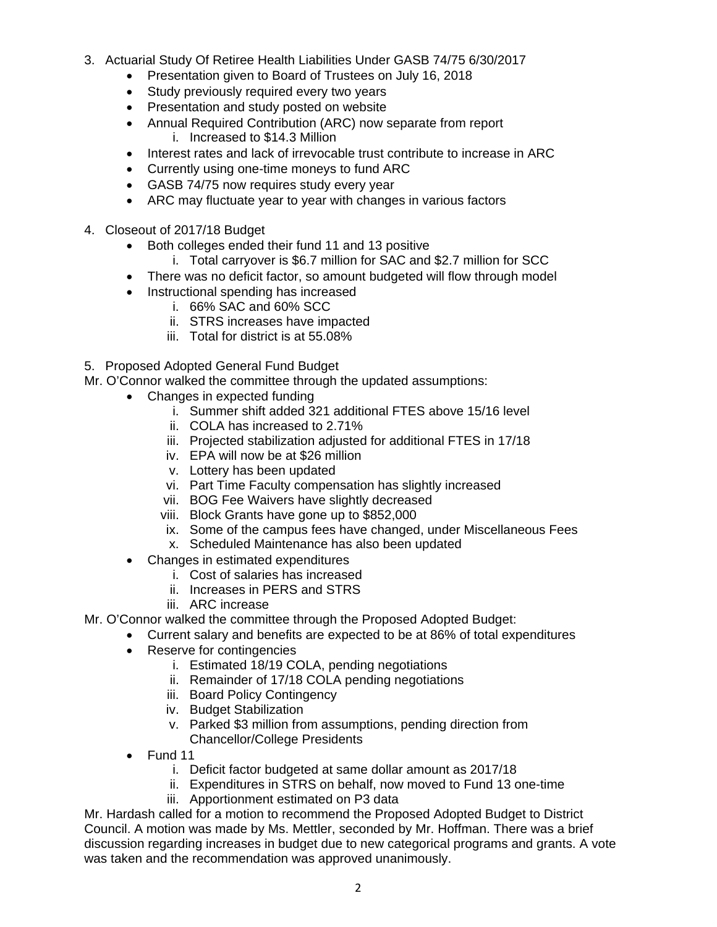- 3. Actuarial Study Of Retiree Health Liabilities Under GASB 74/75 6/30/2017
	- Presentation given to Board of Trustees on July 16, 2018
	- Study previously required every two years
	- Presentation and study posted on website
	- Annual Required Contribution (ARC) now separate from report i. Increased to \$14.3 Million
	- Interest rates and lack of irrevocable trust contribute to increase in ARC
	- Currently using one-time moneys to fund ARC
	- GASB 74/75 now requires study every year
	- ARC may fluctuate year to year with changes in various factors
- 4. Closeout of 2017/18 Budget
	- Both colleges ended their fund 11 and 13 positive
		- i. Total carryover is \$6.7 million for SAC and \$2.7 million for SCC
	- There was no deficit factor, so amount budgeted will flow through model
	- Instructional spending has increased
		- i. 66% SAC and 60% SCC
		- ii. STRS increases have impacted
		- iii. Total for district is at 55.08%
- 5. Proposed Adopted General Fund Budget

Mr. O'Connor walked the committee through the updated assumptions:

- Changes in expected funding
	- i. Summer shift added 321 additional FTES above 15/16 level
	- ii. COLA has increased to 2.71%
	- iii. Projected stabilization adjusted for additional FTES in 17/18
	- iv. EPA will now be at \$26 million
	- v. Lottery has been updated
	- vi. Part Time Faculty compensation has slightly increased
	- vii. BOG Fee Waivers have slightly decreased
	- viii. Block Grants have gone up to \$852,000
	- ix. Some of the campus fees have changed, under Miscellaneous Fees
	- x. Scheduled Maintenance has also been updated
- Changes in estimated expenditures
	- i. Cost of salaries has increased
	- ii. Increases in PERS and STRS
	- iii. ARC increase
- Mr. O'Connor walked the committee through the Proposed Adopted Budget:
	- Current salary and benefits are expected to be at 86% of total expenditures
		- Reserve for contingencies
			- i. Estimated 18/19 COLA, pending negotiations
			- ii. Remainder of 17/18 COLA pending negotiations
			- iii. Board Policy Contingency
			- iv. Budget Stabilization
			- v. Parked \$3 million from assumptions, pending direction from Chancellor/College Presidents
		- Fund 11
			- i. Deficit factor budgeted at same dollar amount as 2017/18
			- ii. Expenditures in STRS on behalf, now moved to Fund 13 one-time
			- iii. Apportionment estimated on P3 data

Mr. Hardash called for a motion to recommend the Proposed Adopted Budget to District Council. A motion was made by Ms. Mettler, seconded by Mr. Hoffman. There was a brief discussion regarding increases in budget due to new categorical programs and grants. A vote was taken and the recommendation was approved unanimously.